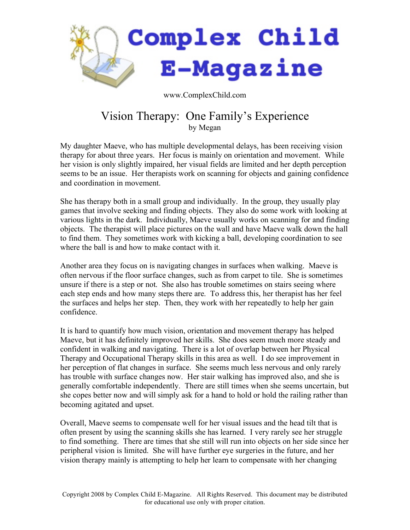

www.ComplexChild.com

## Vision Therapy: One Family's Experience by Megan

My daughter Maeve, who has multiple developmental delays, has been receiving vision therapy for about three years. Her focus is mainly on orientation and movement. While her vision is only slightly impaired, her visual fields are limited and her depth perception seems to be an issue. Her therapists work on scanning for objects and gaining confidence and coordination in movement.

She has therapy both in a small group and individually. In the group, they usually play games that involve seeking and finding objects. They also do some work with looking at various lights in the dark. Individually, Maeve usually works on scanning for and finding objects. The therapist will place pictures on the wall and have Maeve walk down the hall to find them. They sometimes work with kicking a ball, developing coordination to see where the ball is and how to make contact with it.

Another area they focus on is navigating changes in surfaces when walking. Maeve is often nervous if the floor surface changes, such as from carpet to tile. She is sometimes unsure if there is a step or not. She also has trouble sometimes on stairs seeing where each step ends and how many steps there are. To address this, her therapist has her feel the surfaces and helps her step. Then, they work with her repeatedly to help her gain confidence.

It is hard to quantify how much vision, orientation and movement therapy has helped Maeve, but it has definitely improved her skills. She does seem much more steady and confident in walking and navigating. There is a lot of overlap between her Physical Therapy and Occupational Therapy skills in this area as well. I do see improvement in her perception of flat changes in surface. She seems much less nervous and only rarely has trouble with surface changes now. Her stair walking has improved also, and she is generally comfortable independently. There are still times when she seems uncertain, but she copes better now and will simply ask for a hand to hold or hold the railing rather than becoming agitated and upset.

Overall, Maeve seems to compensate well for her visual issues and the head tilt that is often present by using the scanning skills she has learned. I very rarely see her struggle to find something. There are times that she still will run into objects on her side since her peripheral vision is limited. She will have further eye surgeries in the future, and her vision therapy mainly is attempting to help her learn to compensate with her changing